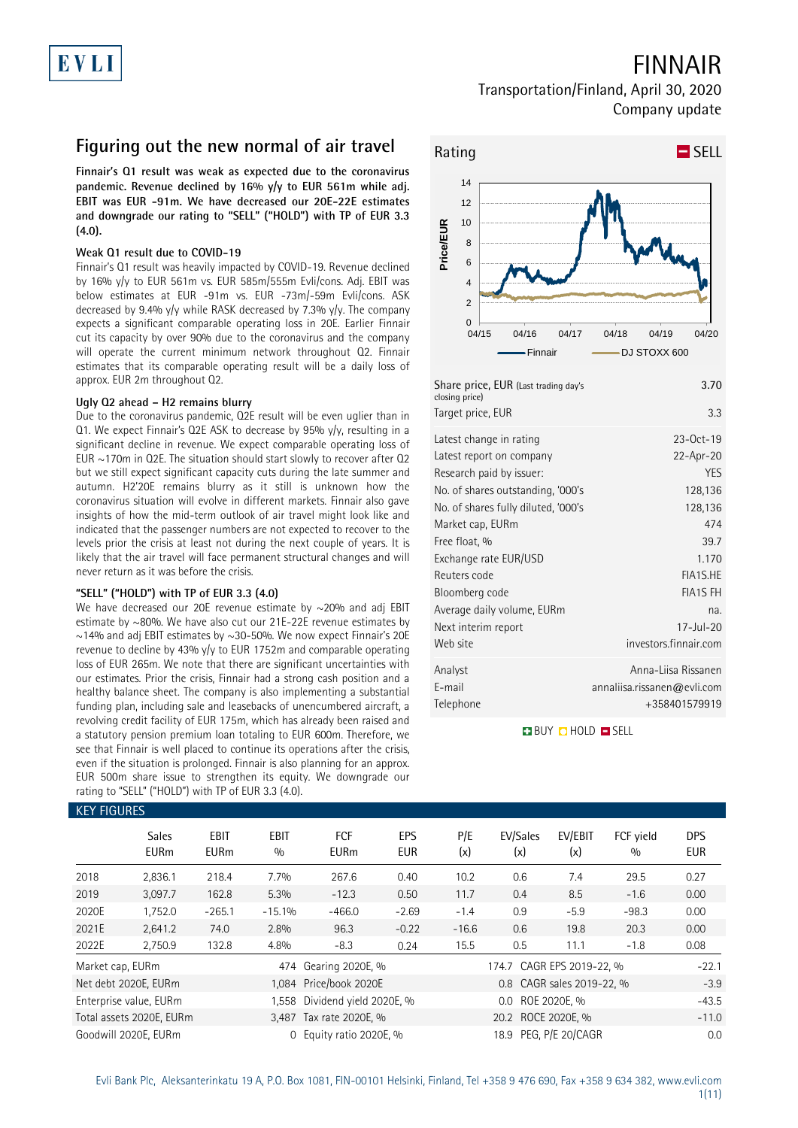## FINNAIR

### Transportation/Finland, April 30, 2020 Company update

### **Figuring out the new normal of air travel**

**Finnair's Q1 result was weak as expected due to the coronavirus pandemic. Revenue declined by 16% y/y to EUR 561m while adj. EBIT was EUR -91m. We have decreased our 20E-22E estimates and downgrade our rating to "SELL" ("HOLD") with TP of EUR 3.3 (4.0).** 

### **Weak Q1 result due to COVID-19**

Finnair's Q1 result was heavily impacted by COVID-19. Revenue declined by 16% y/y to EUR 561m vs. EUR 585m/555m Evli/cons. Adj. EBIT was below estimates at EUR -91m vs. EUR -73m/-59m Evli/cons. ASK decreased by 9.4% y/y while RASK decreased by 7.3% y/y. The company expects a significant comparable operating loss in 20E. Earlier Finnair cut its capacity by over 90% due to the coronavirus and the company will operate the current minimum network throughout Q2. Finnair estimates that its comparable operating result will be a daily loss of approx. EUR 2m throughout Q2.

### **Ugly Q2 ahead – H2 remains blurry**

Due to the coronavirus pandemic, Q2E result will be even uglier than in Q1. We expect Finnair's Q2E ASK to decrease by 95% y/y, resulting in a significant decline in revenue. We expect comparable operating loss of EUR  $\sim$ 170m in Q2E. The situation should start slowly to recover after Q2 but we still expect significant capacity cuts during the late summer and autumn. H2'20E remains blurry as it still is unknown how the coronavirus situation will evolve in different markets. Finnair also gave insights of how the mid-term outlook of air travel might look like and indicated that the passenger numbers are not expected to recover to the levels prior the crisis at least not during the next couple of years. It is likely that the air travel will face permanent structural changes and will never return as it was before the crisis.

### **"SELL" ("HOLD") with TP of EUR 3.3 (4.0)**

We have decreased our 20E revenue estimate by  $\sim$ 20% and adj EBIT estimate by ~80%. We have also cut our 21E-22E revenue estimates by  $\sim$ 14% and adj EBIT estimates by  $\sim$ 30-50%. We now expect Finnair's 20E revenue to decline by 43% y/y to EUR 1752m and comparable operating loss of EUR 265m. We note that there are significant uncertainties with our estimates. Prior the crisis, Finnair had a strong cash position and a healthy balance sheet. The company is also implementing a substantial funding plan, including sale and leasebacks of unencumbered aircraft, a revolving credit facility of EUR 175m, which has already been raised and a statutory pension premium loan totaling to EUR 600m. Therefore, we see that Finnair is well placed to continue its operations after the crisis, even if the situation is prolonged. Finnair is also planning for an approx. EUR 500m share issue to strengthen its equity. We downgrade our rating to "SELL" ("HOLD") with TP of EUR 3.3 (4.0).



| Share price, EUR (Last trading day's<br>closing price) | 3.70                        |
|--------------------------------------------------------|-----------------------------|
| Target price, EUR                                      | 3.3                         |
| Latest change in rating                                | $23-0ct-19$                 |
| Latest report on company<br>Research paid by issuer:   | 22-Apr-20<br><b>YES</b>     |
| No. of shares outstanding, '000's                      | 128,136                     |
| No. of shares fully diluted, '000's                    | 128,136                     |
| Market cap, EURm                                       | 474                         |
| Free float, %                                          | 39.7                        |
| Exchange rate EUR/USD                                  | 1.170                       |
| Reuters code                                           | FIA1S.HE                    |
| Bloomberg code                                         | <b>FIA1S FH</b>             |
| Average daily volume, EURm                             | na.                         |
| Next interim report                                    | $17 -$ Jul-20               |
| Web site                                               | investors.finnair.com       |
| Analyst                                                | Anna-Liisa Rissanen         |
| E-mail                                                 | annaliisa.rissanen@evli.com |
| Telephone                                              | +358401579919               |

**BUY O HOLD O SELL** 

|                  | <b>KEY FIGURES</b>          |                            |                    |                               |                          |            |                           |                           |                  |                          |  |  |
|------------------|-----------------------------|----------------------------|--------------------|-------------------------------|--------------------------|------------|---------------------------|---------------------------|------------------|--------------------------|--|--|
|                  | <b>Sales</b><br><b>EURm</b> | <b>EBIT</b><br><b>EURm</b> | <b>EBIT</b><br>0/0 | <b>FCF</b><br><b>EURm</b>     | <b>EPS</b><br><b>EUR</b> | P/E<br>(x) | EV/Sales<br>(x)           | EV/EBIT<br>(x)            | FCF yield<br>0/0 | <b>DPS</b><br><b>EUR</b> |  |  |
| 2018             | 2,836.1                     | 218.4                      | 7.7%               | 267.6                         | 0.40                     | 10.2       | 0.6                       | 7.4                       | 29.5             | 0.27                     |  |  |
| 2019             | 3,097.7                     | 162.8                      | 5.3%               | $-12.3$                       | 0.50                     | 11.7       | 0.4                       | 8.5                       | $-1.6$           | 0.00                     |  |  |
| 2020E            | 1,752.0                     | $-265.1$                   | $-15.1%$           | $-466.0$                      | $-2.69$                  | $-1.4$     | 0.9                       | $-5.9$                    | $-98.3$          | 0.00                     |  |  |
| 2021E            | 2,641.2                     | 74.0                       | 2.8%               | 96.3                          | $-0.22$                  | $-16.6$    | 0.6                       | 19.8                      | 20.3             | 0.00                     |  |  |
| 2022E            | 2,750.9                     | 132.8                      | 4.8%               | $-8.3$                        | 0.24                     | 15.5       | 0.5                       | 11.1                      | $-1.8$           | 0.08                     |  |  |
| Market cap, EURm |                             |                            |                    | 474 Gearing 2020E, %          |                          |            | 174.7 CAGR EPS 2019-22, % |                           |                  | $-22.1$                  |  |  |
|                  | Net debt 2020E, EURm        |                            |                    | 1,084 Price/book 2020E        |                          |            |                           | 0.8 CAGR sales 2019-22, % |                  | $-3.9$                   |  |  |
|                  | Enterprise value, EURm      |                            |                    | 1,558 Dividend yield 2020E, % |                          |            | 0.0                       | ROE 2020E. %              |                  | $-43.5$                  |  |  |
|                  | Total assets 2020E, EURm    |                            |                    | 3,487 Tax rate 2020E, %       |                          |            | 20.2 ROCE 2020E, %        |                           |                  | $-11.0$                  |  |  |
|                  | Goodwill 2020E, EURm        |                            | $\Omega$           | Equity ratio 2020E, %         |                          |            | 18.9                      | PEG. P/E 20/CAGR          |                  | 0.0                      |  |  |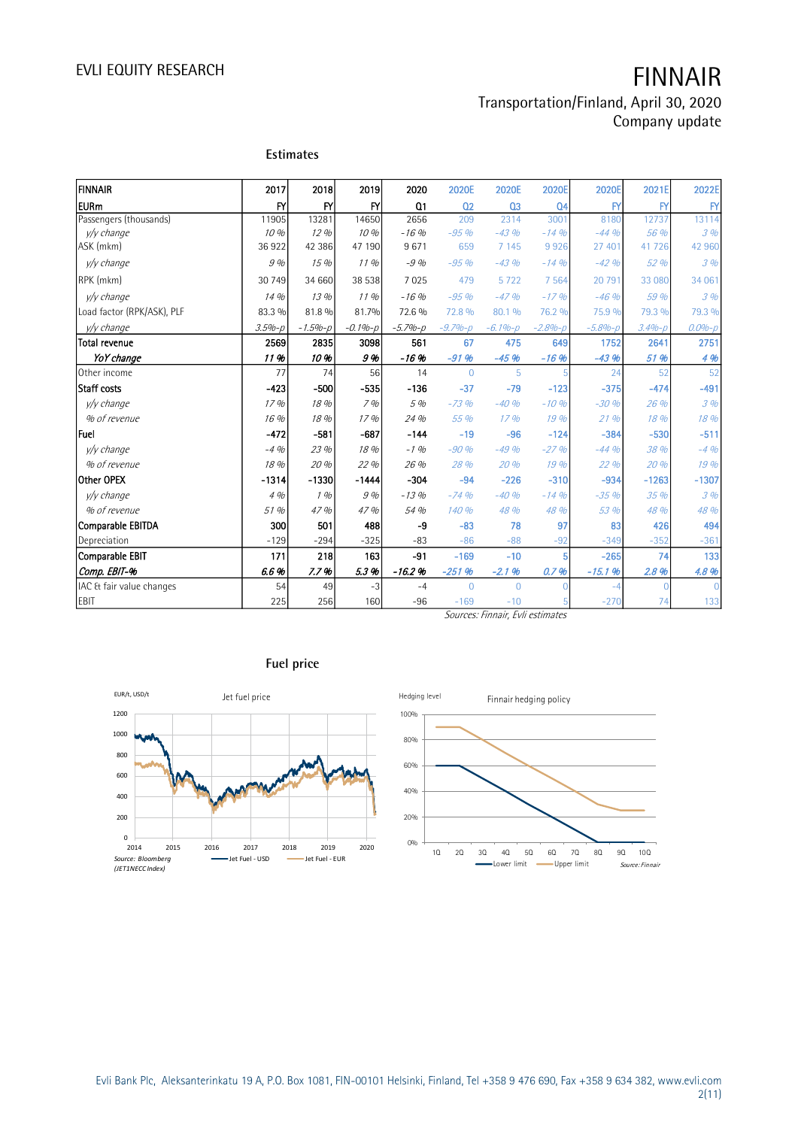# EVLI EQUITY RESEARCH **FINNAIR**

### Transportation/Finland, April 30, 2020 Company update

|                            |            | <b>Estimates</b> |             |                |                |                                  |                |              |            |              |
|----------------------------|------------|------------------|-------------|----------------|----------------|----------------------------------|----------------|--------------|------------|--------------|
| İfinnair                   | 2017       | 2018             | 2019        | 2020           | 2020E          | 2020E                            | 2020E          | 2020E        | 2021E      | 2022E        |
| <b>EURm</b>                | <b>FY</b>  | <b>FY</b>        | <b>FY</b>   | Q <sub>1</sub> | Q <sub>2</sub> | Q <sub>3</sub>                   | Q <sub>4</sub> | $\mathsf{F}$ | BY         | $\mathsf{F}$ |
| Passengers (thousands)     | 11905      | 13281            | 14650       | 2656           | 209            | 2314                             | 3001           | 8180         | 12737      | 13114        |
| y/y change                 | 10%        | 12%              | 10 %        | $-16%$         | $-95%$         | $-4.3$ %                         | $-14%$         | $-44.96$     | 56 %       | 3%           |
| ASK (mkm)                  | 36922      | 42 386           | 47 190      | 9671           | 659            | 7 1 4 5                          | 9926           | 27 401       | 41726      | 42 960       |
| y/y change                 | 9%         | 15%              | 11.96       | $-9%$          | $-95%$         | $-43%$                           | $-14%$         | $-42%$       | 52 %       | 3%           |
| RPK (mkm)                  | 30 749     | 34 660           | 38 538      | 7025           | 479            | 5722                             | 7 5 6 4        | 20 791       | 33 080     | 34 061       |
| v/v change                 | 14%        | 13%              | 11%         | $-16%$         | $-95%$         | $-47%$                           | $-17%$         | $-46%$       | 5.9 %      | 3%           |
| Load factor (RPK/ASK), PLF | 83.3 %     | 81.8 %           | 81.7%       | 72.6 %         | 72.8 %         | 80.1 %                           | 76.2 %         | 75.9 %       | 79.3 %     | 79.3 %       |
| y/y change                 | $3.5% - p$ | $-1.5% - p$      | $-0.1% - p$ | $-5.7% - p$    | $-9.7% - p$    | $-6.1% - p$                      | $-2.8% - D$    | $-5.8% - p$  | $3.4% - p$ | $0.0% - p$   |
| Total revenue              | 2569       | 2835             | 3098        | 561            | 67             | 475                              | 649            | 1752         | 2641       | 2751         |
| YoY change                 | 11%        | 10%              | 9%          | $-16.96$       | $-9196$        | $-45%$                           | $-16%$         | $-43%$       | 51 %       | 4 %          |
| Other income               | 77         | 74               | 56          | 14             | $\overline{0}$ | 5                                | 5              | 24           | 52         | 52           |
| Staff costs                | $-423$     | $-500$           | $-535$      | $-136$         | $-37$          | $-79$                            | $-123$         | $-375$       | $-474$     | $-491$       |
| v/v change                 | 17%        | 18 %             | 7%          | 5 %            | $-73%$         | $-40%$                           | $-10%$         | $-30%$       | 26 %       | 3%           |
| % of revenue               | 16 %       | 18 %             | 17%         | 24 %           | 55 %           | 17%                              | 19 %           | 21%          | 18 %       | 18 %         |
| lFuel                      | $-472$     | $-581$           | $-687$      | $-144$         | $-19$          | $-96$                            | $-124$         | $-384$       | $-530$     | $-511$       |
| v/v change                 | $-4.96$    | 23 %             | 18 %        | $-1.96$        | $-90%$         | $-49%$                           | $-27%$         | $-44.96$     | 38 %       | $-4%$        |
| % of revenue               | 18 %       | 20 %             | 22 %        | 26 %           | 28 %           | 20 %                             | 19%            | 22 %         | 20 %       | 19 %         |
| Other OPEX                 | $-1314$    | $-1330$          | $-1444$     | $-304$         | $-94$          | $-226$                           | $-310$         | $-934$       | $-1263$    | $-1307$      |
| y/y change                 | 4%         | 1%               | 9 %         | $-13%$         | $-74%$         | $-40%$                           | $-14%$         | $-35%$       | 35 %       | 3%           |
| % of revenue               | 51 %       | 47%              | 47 %        | 54 %           | 140 %          | 48 %                             | 48 %           | 53 %         | 48 %       | 48 %         |
| Comparable EBITDA          | 300        | 501              | 488         | $-9$           | $-83$          | 78                               | 97             | 83           | 426        | 494          |
| Depreciation               | $-129$     | $-294$           | $-325$      | $-83$          | $-86$          | $-88$                            | $-92$          | $-349$       | $-352$     | $-361$       |
| Comparable EBIT            | 171        | 218              | 163         | $-91$          | $-169$         | $-10$                            | 5              | $-265$       | 74         | 133          |
| Comp. EBIT-%               | 6.6%       | 7.7%             | 5.3%        | $-16.2%$       | $-251%$        | $-2.1%$                          | 0.7%           | $-15.1%$     | 2.8%       | 4.8 %        |
| IAC & fair value changes   | 54         | 49               | $-3$        | $-4$           | $\Omega$       | $\Omega$                         | C              | $-4$         | $\Omega$   | $\Omega$     |
| EBIT                       | 225        | 256              | 160         | $-96$          | $-169$         | $-10$                            |                | $-270$       | 74         | 133          |
|                            |            |                  |             |                |                | Sources: Finnair, Evli estimates |                |              |            |              |



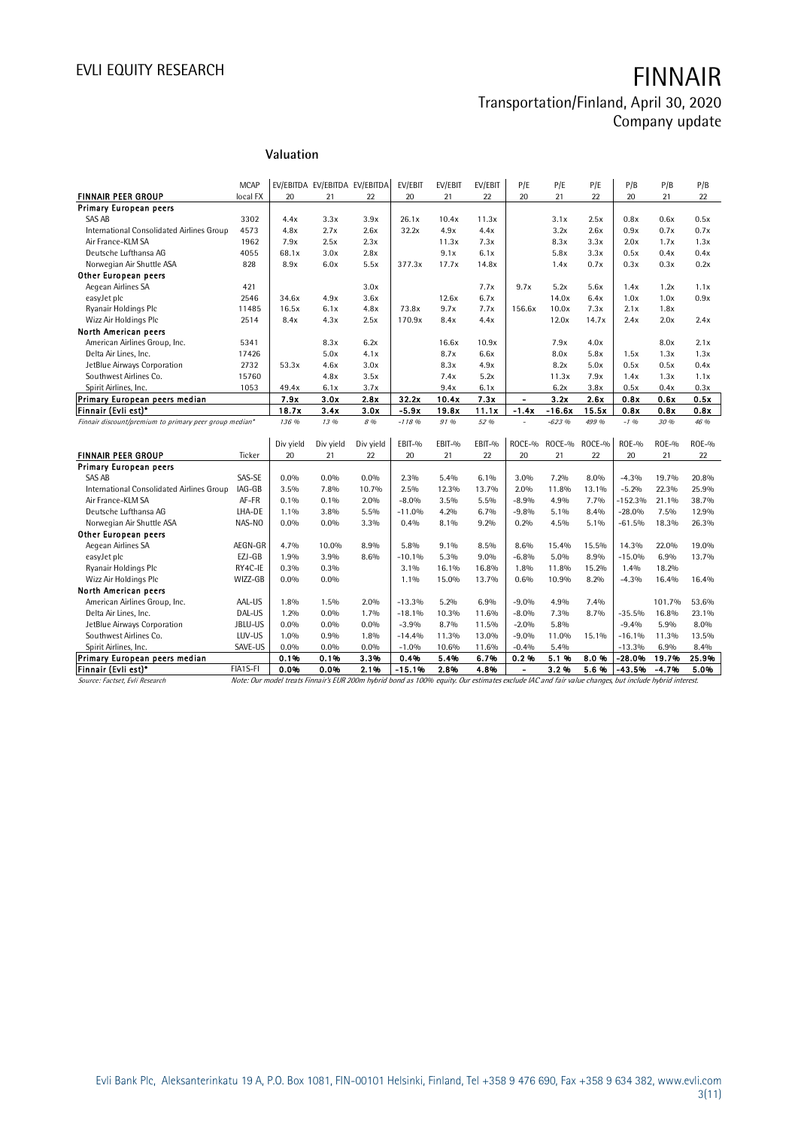# EVLI EQUITY RESEARCH **FINNAIR**

### Transportation/Finland, April 30, 2020 Company update

### **Valuation**

|                                                        | <b>MCAP</b> |           | EV/EBITDA EV/EBITDA EV/EBITDA |           | EV/EBIT  | EV/EBIT | EV/EBIT | P/E            | P/E      | P/E    | P/B       | P/B     | P/B     |
|--------------------------------------------------------|-------------|-----------|-------------------------------|-----------|----------|---------|---------|----------------|----------|--------|-----------|---------|---------|
| <b>FINNAIR PEER GROUP</b>                              | local FX    | 20        | 21                            | 22        | 20       | 21      | 22      | 20             | 21       | 22     | 20        | 21      | 22      |
| <b>Primary European peers</b>                          |             |           |                               |           |          |         |         |                |          |        |           |         |         |
| <b>SAS AB</b>                                          | 3302        | 4.4x      | 3.3x                          | 3.9x      | 26.1x    | 10.4x   | 11.3x   |                | 3.1x     | 2.5x   | 0.8x      | 0.6x    | 0.5x    |
| International Consolidated Airlines Group              | 4573        | 4.8x      | 2.7x                          | 2.6x      | 32.2x    | 4.9x    | 4.4x    |                | 3.2x     | 2.6x   | 0.9x      | 0.7x    | 0.7x    |
| Air France-KLM SA                                      | 1962        | 7.9x      | 2.5x                          | 2.3x      |          | 11.3x   | 7.3x    |                | 8.3x     | 3.3x   | 2.0x      | 1.7x    | 1.3x    |
| Deutsche Lufthansa AG                                  | 4055        | 68.1x     | 3.0x                          | 2.8x      |          | 9.1x    | 6.1x    |                | 5.8x     | 3.3x   | 0.5x      | 0.4x    | 0.4x    |
| Norwegian Air Shuttle ASA                              | 828         | 8.9x      | 6.0x                          | 5.5x      | 377.3x   | 17.7x   | 14.8x   |                | 1.4x     | 0.7x   | 0.3x      | 0.3x    | 0.2x    |
| <b>Other European peers</b>                            |             |           |                               |           |          |         |         |                |          |        |           |         |         |
| Aegean Airlines SA                                     | 421         |           |                               | 3.0x      |          |         | 7.7x    | 9.7x           | 5.2x     | 5.6x   | 1.4x      | 1.2x    | 1.1x    |
| easyJet plc                                            | 2546        | 34.6x     | 4.9x                          | 3.6x      |          | 12.6x   | 6.7x    |                | 14.0x    | 6.4x   | 1.0x      | 1.0x    | 0.9x    |
| Ryanair Holdings Plc                                   | 11485       | 16.5x     | 6.1x                          | 4.8x      | 73.8x    | 9.7x    | 7.7x    | 156.6x         | 10.0x    | 7.3x   | 2.1x      | 1.8x    |         |
| Wizz Air Holdings Plc                                  | 2514        | 8.4x      | 4.3x                          | 2.5x      | 170.9x   | 8.4x    | 4.4x    |                | 12.0x    | 14.7x  | 2.4x      | 2.0x    | 2.4x    |
| North American peers                                   |             |           |                               |           |          |         |         |                |          |        |           |         |         |
| American Airlines Group, Inc.                          | 5341        |           | 8.3x                          | 6.2x      |          | 16.6x   | 10.9x   |                | 7.9x     | 4.0x   |           | 8.0x    | 2.1x    |
| Delta Air Lines, Inc.                                  | 17426       |           | 5.0x                          | 4.1x      |          | 8.7x    | 6.6x    |                | 8.0x     | 5.8x   | 1.5x      | 1.3x    | 1.3x    |
| JetBlue Airways Corporation                            | 2732        | 53.3x     | 4.6x                          | 3.0x      |          | 8.3x    | 4.9x    |                | 8.2x     | 5.0x   | 0.5x      | 0.5x    | 0.4x    |
| Southwest Airlines Co.                                 | 15760       |           | 4.8x                          | 3.5x      |          | 7.4x    | 5.2x    |                | 11.3x    | 7.9x   | 1.4x      | 1.3x    | 1.1x    |
| Spirit Airlines, Inc.                                  | 1053        | 49.4x     | 6.1x                          | 3.7x      |          | 9.4x    | 6.1x    |                | 6.2x     | 3.8x   | 0.5x      | 0.4x    | 0.3x    |
| Primary European peers median                          |             | 7.9x      | 3.0x                          | 2.8x      | 32.2x    | 10.4x   | 7.3x    | $\blacksquare$ | 3.2x     | 2.6x   | 0.8x      | 0.6x    | 0.5x    |
| Finnair (Evli est)*                                    |             | 18.7x     | 3.4x                          | 3.0x      | $-5.9x$  | 19.8x   | 11.1x   | $-1.4x$        | $-16.6x$ | 15.5x  | 0.8x      | 0.8x    | 0.8x    |
| Finnair discount/premium to primary peer group median* |             | 136 %     | 13 %                          | 8 %       | $-11896$ | 91%     | 52 %    | $\sim$         | $-623%$  | 499 %  | $-1.96$   | 30 %    | 46 %    |
|                                                        |             |           |                               |           |          |         |         |                |          |        |           |         |         |
|                                                        |             | Div yield | Div yield                     | Div yield | EBIT-%   | EBIT-%  | EBIT-%  | ROCE-%         | ROCE-%   | ROCE-% | $ROE-0$   | $ROE-9$ | $ROE-0$ |
| <b>FINNAIR PEER GROUP</b>                              | Ticker      | 20        | 21                            | 22        | 20       | 21      | 22      | 20             | 21       | 22     | 20        | 21      | 22      |
| <b>Primary European peers</b>                          |             |           |                               |           |          |         |         |                |          |        |           |         |         |
| <b>SAS AB</b>                                          | SAS-SE      | $0.0\%$   | $0.0\%$                       | $0.0\%$   | $2.3\%$  | 5.4%    | 6.1%    | 3.0%           | 7.2%     | 8.0%   | $-4.3%$   | 19.7%   | 20.8%   |
| International Consolidated Airlines Group              | IAG-GB      | 3.5%      | 7.8%                          | 10.7%     | 2.5%     | 12.3%   | 13.7%   | 2.0%           | 11.8%    | 13.1%  | $-5.2%$   | 22.3%   | 25.9%   |
| Air France-KLM SA                                      | AF-FR       | 0.1%      | 0.1%                          | 2.0%      | $-8.0%$  | 3.5%    | 5.5%    | $-8.9%$        | 4.9%     | 7.7%   | $-152.3%$ | 21.1%   | 38.7%   |
| Deutsche Lufthansa AG                                  | LHA-DE      | 1.1%      | 3.8%                          | 5.5%      | $-11.0%$ | 4.2%    | 6.7%    | $-9.8%$        | 5.1%     | 8.4%   | $-28.0%$  | 7.5%    | 12.9%   |
| Norwegian Air Shuttle ASA                              | NAS-NO      | $0.0\%$   | $0.0\%$                       | 3.3%      | 0.4%     | 8.1%    | 9.2%    | 0.2%           | 4.5%     | 5.1%   | $-61.5%$  | 18.3%   | 26.3%   |
| <b>Other European peers</b>                            |             |           |                               |           |          |         |         |                |          |        |           |         |         |
| Aegean Airlines SA                                     | AEGN-GR     | 4.7%      | 10.0%                         | 8.9%      | 5.8%     | 9.1%    | 8.5%    | 8.6%           | 15.4%    | 15.5%  | 14.3%     | 22.0%   | 19.0%   |
| easyJet plc                                            | EZJ-GB      | 1.9%      | 3.9%                          | 8.6%      | $-10.1%$ | 5.3%    | 9.0%    | $-6.8%$        | 5.0%     | 8.9%   | $-15.0%$  | 6.9%    | 13.7%   |
| Ryanair Holdings Plc                                   | RY4C-IE     | 0.3%      | $0.3\%$                       |           | $3.1\%$  | 16.1%   | 16.8%   | 1.8%           | 11.8%    | 15.2%  | 1.4%      | 18.2%   |         |
| Wizz Air Holdings Plc                                  | WIZZ-GB     | $0.0\%$   | $0.0\%$                       |           | 1.1%     | 15.0%   | 13.7%   | 0.6%           | 10.9%    | 8.2%   | $-4.3%$   | 16.4%   | 16.4%   |
| North American peers                                   |             |           |                               |           |          |         |         |                |          |        |           |         |         |
| American Airlines Group, Inc.                          | AAL-US      | 1.8%      | 1.5%                          | 2.0%      | $-13.3%$ | 5.2%    | 6.9%    | $-9.0%$        | 4.9%     | 7.4%   |           | 101.7%  | 53.6%   |
| Delta Air Lines, Inc.                                  | DAL-US      | 1.2%      | $0.0\%$                       | 1.7%      | $-18.1%$ | 10.3%   | 11.6%   | $-8.0%$        | 7.3%     | 8.7%   | $-35.5%$  | 16.8%   | 23.1%   |
| JetBlue Airways Corporation                            | JBLU-US     | $0.0\%$   | $0.0\%$                       | $0.0\%$   | $-3.9%$  | 8.7%    | 11.5%   | $-2.0%$        | 5.8%     |        | $-9.4%$   | 5.9%    | 8.0%    |
| Southwest Airlines Co.                                 | LUV-US      | 1.0%      | 0.9%                          | 1.8%      | $-14.4%$ | 11.3%   | 13.0%   | $-9.0%$        | 11.0%    | 15.1%  | $-16.1%$  | 11.3%   | 13.5%   |
| Spirit Airlines, Inc.                                  | SAVE-US     | 0.0%      | $0.0\%$                       | $0.0\%$   | $-1.0%$  | 10.6%   | 11.6%   | $-0.4%$        | 5.4%     |        | $-13.3%$  | 6.9%    | 8.4%    |
| Primary European peers median                          |             | 0.1%      | 0.1%                          | 3.3%      | 0.4%     | 5.4%    | 6.7%    | 0.2%           | 5.1%     | 8.0%   | $-28.0%$  | 19.7%   | 25.9%   |
| Finnair (Evli est)*                                    | FIA1S-FI    | 0.0%      | 0.0%                          | 2.1%      | $-15.1%$ | 2.8%    | 4.8%    | $\blacksquare$ | 3.2%     | 5.6%   | $-43.5%$  | $-4.7%$ | 5.0%    |

Source: Factset, Evli Research Note: Our model treats Finnair's EUR 200m hybrid bond as 100% equity. Our estimates exclude IAC and fair value changes, but include hybrid interest.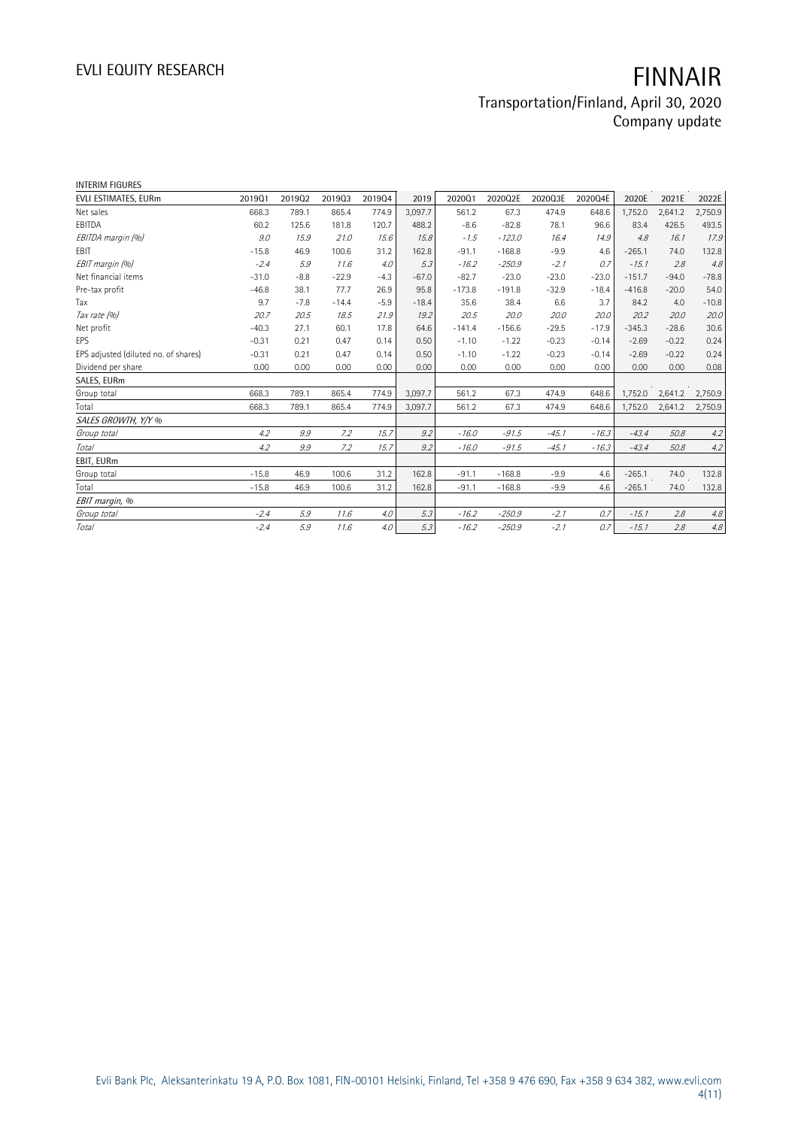| <b>INTERIM FIGURES</b>               |         |        |         |        |         |          |          |         |         |          |         |         |
|--------------------------------------|---------|--------|---------|--------|---------|----------|----------|---------|---------|----------|---------|---------|
| EVLI ESTIMATES, EURm                 | 201901  | 201902 | 201903  | 201904 | 2019    | 202001   | 2020Q2E  | 2020Q3E | 2020Q4E | 2020E    | 2021E   | 2022E   |
| Net sales                            | 668.3   | 789.1  | 865.4   | 774.9  | 3,097.7 | 561.2    | 67.3     | 474.9   | 648.6   | 1,752.0  | 2,641.2 | 2,750.9 |
| EBITDA                               | 60.2    | 125.6  | 181.8   | 120.7  | 488.2   | $-8.6$   | $-82.8$  | 78.1    | 96.6    | 83.4     | 426.5   | 493.5   |
| EBITDA margin (%)                    | 9.0     | 15.9   | 21.0    | 15.6   | 15.8    | $-1.5$   | $-123.0$ | 16.4    | 14.9    | 4.8      | 16.1    | 17.9    |
| EBIT                                 | $-15.8$ | 46.9   | 100.6   | 31.2   | 162.8   | $-91.1$  | $-168.8$ | $-9.9$  | 4.6     | $-265.1$ | 74.0    | 132.8   |
| EBIT margin (%)                      | $-2.4$  | 5.9    | 11.6    | 4.0    | 5.3     | $-16.2$  | $-250.9$ | $-2.1$  | 0.7     | $-15.1$  | 2.8     | 4.8     |
| Net financial items                  | $-31.0$ | $-8.8$ | $-22.9$ | $-4.3$ | $-67.0$ | $-82.7$  | $-23.0$  | $-23.0$ | $-23.0$ | $-151.7$ | $-94.0$ | $-78.8$ |
| Pre-tax profit                       | $-46.8$ | 38.1   | 77.7    | 26.9   | 95.8    | $-173.8$ | $-191.8$ | $-32.9$ | $-18.4$ | $-416.8$ | $-20.0$ | 54.0    |
| Tax                                  | 9.7     | $-7.8$ | $-14.4$ | $-5.9$ | $-18.4$ | 35.6     | 38.4     | 6.6     | 3.7     | 84.2     | 4.0     | $-10.8$ |
| Tax rate (%)                         | 20.7    | 20.5   | 18.5    | 21.9   | 19.2    | 20.5     | 20.0     | 20.0    | 20.0    | 20.2     | 20.0    | 20.0    |
| Net profit                           | $-40.3$ | 27.1   | 60.1    | 17.8   | 64.6    | $-141.4$ | $-156.6$ | $-29.5$ | $-17.9$ | $-345.3$ | $-28.6$ | 30.6    |
| EPS                                  | $-0.31$ | 0.21   | 0.47    | 0.14   | 0.50    | $-1.10$  | $-1.22$  | $-0.23$ | $-0.14$ | $-2.69$  | $-0.22$ | 0.24    |
| EPS adjusted (diluted no. of shares) | $-0.31$ | 0.21   | 0.47    | 0.14   | 0.50    | $-1.10$  | $-1.22$  | $-0.23$ | $-0.14$ | $-2.69$  | $-0.22$ | 0.24    |
| Dividend per share                   | 0.00    | 0.00   | 0.00    | 0.00   | 0.00    | 0.00     | 0.00     | 0.00    | 0.00    | 0.00     | 0.00    | 0.08    |
| SALES, EURm                          |         |        |         |        |         |          |          |         |         |          |         |         |
| Group total                          | 668.3   | 789.1  | 865.4   | 774.9  | 3,097.7 | 561.2    | 67.3     | 474.9   | 648.6   | 1,752.0  | 2,641.2 | 2,750.9 |
| Total                                | 668.3   | 789.1  | 865.4   | 774.9  | 3,097.7 | 561.2    | 67.3     | 474.9   | 648.6   | 1,752.0  | 2,641.2 | 2,750.9 |
| SALES GROWTH, Y/Y %                  |         |        |         |        |         |          |          |         |         |          |         |         |
| Group total                          | 4.2     | 9.9    | 7.2     | 15.7   | 9.2     | $-16.0$  | $-91.5$  | $-45.1$ | $-16.3$ | $-43.4$  | 50.8    | 4.2     |
| Total                                | 4.2     | 9.9    | 7.2     | 15.7   | 9.2     | $-16.0$  | $-91.5$  | $-45.1$ | $-16.3$ | $-43.4$  | 50.8    | 4.2     |
| EBIT, EURm                           |         |        |         |        |         |          |          |         |         |          |         |         |
| Group total                          | $-15.8$ | 46.9   | 100.6   | 31.2   | 162.8   | $-91.1$  | $-168.8$ | $-9.9$  | 4.6     | $-265.1$ | 74.0    | 132.8   |
| Total                                | $-15.8$ | 46.9   | 100.6   | 31.2   | 162.8   | $-91.1$  | $-168.8$ | $-9.9$  | 4.6     | $-265.1$ | 74.0    | 132.8   |
| EBIT margin, %                       |         |        |         |        |         |          |          |         |         |          |         |         |
| Group total                          | $-2.4$  | 5.9    | 11.6    | 4.0    | 5.3     | $-16.2$  | $-250.9$ | $-2.1$  | 0.7     | $-15.1$  | 2.8     | 4.8     |
| <b>Total</b>                         | $-2.4$  | 5.9    | 11.6    | 4.0    | 5.3     | $-16.2$  | $-250.9$ | $-2.1$  | 0.7     | $-15.1$  | 2.8     | $4.8\,$ |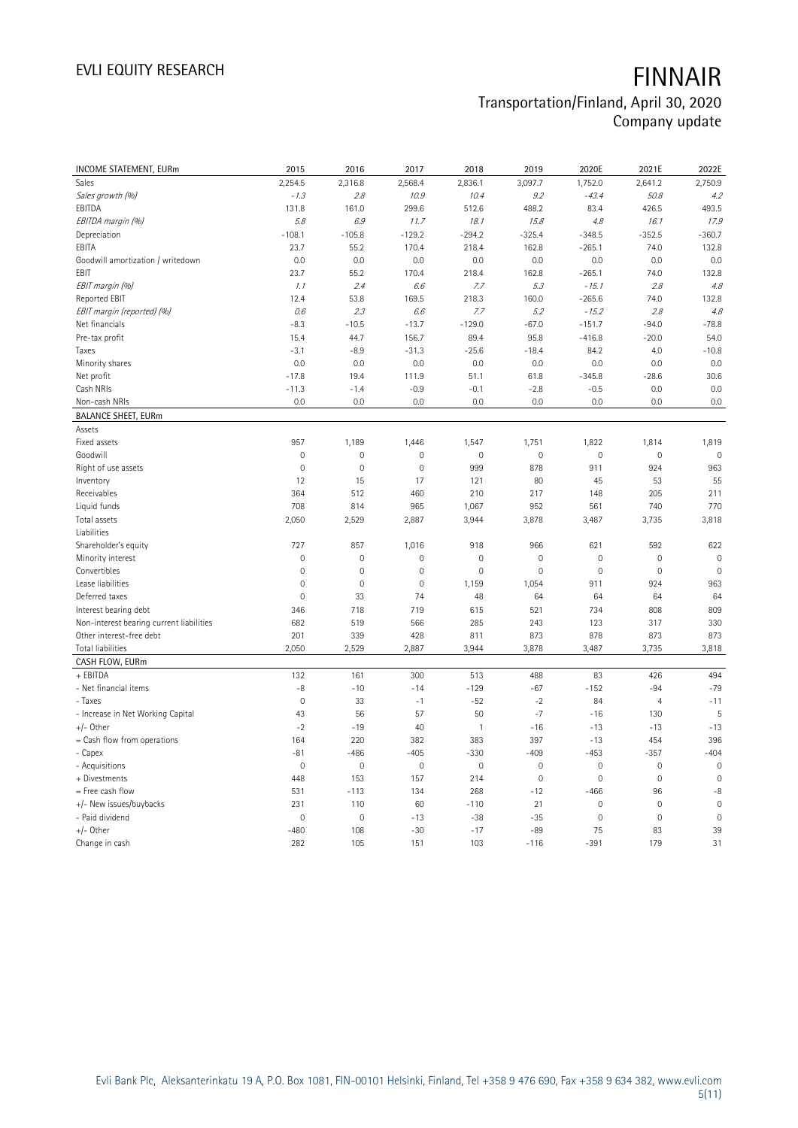| INCOME STATEMENT, EURm                   | 2015           | 2016        | 2017        | 2018                | 2019           | 2020E               | 2021E               | 2022E          |
|------------------------------------------|----------------|-------------|-------------|---------------------|----------------|---------------------|---------------------|----------------|
| Sales                                    | 2,254.5        | 2,316.8     | 2,568.4     | 2,836.1             | 3,097.7        | 1,752.0             | 2,641.2             | 2,750.9        |
| Sales growth (%)                         | $-1.3$         | 2.8         | 10.9        | 10.4                | 9.2            | $-43.4$             | 50.8                | 4.2            |
| EBITDA                                   | 131.8          | 161.0       | 299.6       | 512.6               | 488.2          | 83.4                | 426.5               | 493.5          |
| EBITDA margin (%)                        | 5.8            | 6.9         | 11.7        | 18.1                | 15.8           | 4.8                 | 16.1                | 17.9           |
| Depreciation                             | $-108.1$       | $-105.8$    | $-129.2$    | $-294.2$            | $-325.4$       | $-348.5$            | $-352.5$            | $-360.7$       |
| EBITA                                    | 23.7           | 55.2        | 170.4       | 218.4               | 162.8          | $-265.1$            | 74.0                | 132.8          |
| Goodwill amortization / writedown        | 0.0            | 0.0         | 0.0         | 0.0                 | 0.0            | 0.0                 | 0.0                 | 0.0            |
| EBIT                                     | 23.7           | 55.2        | 170.4       | 218.4               | 162.8          | $-265.1$            | 74.0                | 132.8          |
| EBIT margin (%)                          | 1.1            | 2.4         | 6.6         | 7.7                 | 5.3            | $-15.1$             | 2.8                 | 4.8            |
| Reported EBIT                            | 12.4           | 53.8        | 169.5       | 218.3               | 160.0          | $-265.6$            | 74.0                | 132.8          |
| EBIT margin (reported) (%)               | 0.6            | 2.3         | 6.6         | 7.7                 | 5.2            | $-15.2$             | 2.8                 | 4.8            |
| Net financials                           | $-8.3$         | $-10.5$     | $-13.7$     | $-129.0$            | $-67.0$        | $-151.7$            | $-94.0$             | $-78.8$        |
| Pre-tax profit                           | 15.4           | 44.7        | 156.7       | 89.4                | 95.8           | $-416.8$            | $-20.0$             | 54.0           |
| Taxes                                    | $-3.1$         | $-8.9$      | $-31.3$     | $-25.6$             | $-18.4$        | 84.2                | 4.0                 | $-10.8$        |
| Minority shares                          | 0.0            | 0.0         | 0.0         | 0.0                 | 0.0            | 0.0                 | 0.0                 | 0.0            |
| Net profit                               | $-17.8$        | 19.4        | 111.9       | 51.1                | 61.8           | $-345.8$            | $-28.6$             | 30.6           |
| Cash NRIs                                | $-11.3$        | $-1.4$      | $-0.9$      | $-0.1$              | $-2.8$         | $-0.5$              | 0.0                 | 0.0            |
| Non-cash NRIs                            | 0.0            | 0.0         | 0.0         | 0.0                 | 0.0            | 0.0                 | 0.0                 | 0.0            |
| <b>BALANCE SHEET, EURm</b>               |                |             |             |                     |                |                     |                     |                |
| Assets                                   |                |             |             |                     |                |                     |                     |                |
| Fixed assets                             | 957            | 1,189       | 1,446       | 1,547               | 1,751          | 1,822               | 1,814               | 1,819          |
| Goodwill                                 | $\mathbf 0$    | 0           | $\mathsf 0$ | $\mathsf{O}\xspace$ | $\mathbf 0$    | $\mathsf{O}\xspace$ | $\mathbf 0$         | $\mathbf 0$    |
| Right of use assets                      | $\mathbf 0$    | $\mathbf 0$ | $\mathbf 0$ | 999                 | 878            | 911                 | 924                 | 963            |
| Inventory                                | 12             | 15          | 17          | 121                 | 80             | 45                  | 53                  | 55             |
| Receivables                              | 364            | 512         | 460         | 210                 | 217            | 148                 | 205                 | 211            |
| Liquid funds                             | 708            | 814         | 965         | 1,067               | 952            | 561                 | 740                 | 770            |
| Total assets                             | 2,050          | 2,529       | 2,887       | 3,944               | 3,878          | 3,487               | 3,735               | 3,818          |
| Liabilities                              |                |             |             |                     |                |                     |                     |                |
| Shareholder's equity                     | 727            | 857         | 1,016       | 918                 | 966            | 621                 | 592                 | 622            |
| Minority interest                        | $\mathbf 0$    | $\mathbf 0$ | $\mathbf 0$ | $\mathsf{O}\xspace$ | $\overline{0}$ | $\mathbf 0$         | $\mathbf 0$         | $\mathbf 0$    |
| Convertibles                             | $\mathbf 0$    | 0           | 0           | $\mathbb O$         | $\mathbf 0$    | $\mathsf 0$         | $\mathbb O$         | $\mathbb O$    |
| Lease liabilities                        | $\mathbf 0$    | $\mathbf 0$ | 0           | 1,159               | 1,054          | 911                 | 924                 | 963            |
| Deferred taxes                           | $\overline{0}$ | 33          | 74          | 48                  | 64             | 64                  | 64                  | 64             |
| Interest bearing debt                    | 346            | 718         | 719         | 615                 | 521            | 734                 | 808                 | 809            |
| Non-interest bearing current liabilities | 682            | 519         | 566         | 285                 | 243            | 123                 | 317                 | 330            |
| Other interest-free debt                 | 201            | 339         | 428         | 811                 | 873            | 878                 | 873                 | 873            |
| <b>Total liabilities</b>                 | 2,050          | 2,529       | 2,887       | 3,944               | 3,878          | 3,487               | 3,735               | 3,818          |
| CASH FLOW, EURm                          |                |             |             |                     |                |                     |                     |                |
| + EBITDA                                 | 132            | 161         | 300         | 513                 | 488            | 83                  | 426                 | 494            |
| - Net financial items                    | -8             | $-10$       | $-14$       | $-129$              | $-67$          | $-152$              | $-94$               | $-79$          |
| - Taxes                                  | $\mathbf 0$    | 33          | $-1$        | $-52$               | $-2$           | 84                  | $\overline{4}$      | $-11$          |
| - Increase in Net Working Capital        | 43             | 56          | 57          | 50                  | $-7$           | $-16$               | 130                 | $\overline{5}$ |
| $+/-$ Other                              | $-2$           | $-19$       | 40          | $\mathbf{1}$        | $-16$          | $-13$               | $-13$               | $-13$          |
| = Cash flow from operations              | 164            | 220         | 382         | 383                 | 397            | $-13$               | 454                 | 396            |
| - Capex                                  | $-81$          | $-486$      | $-405$      | $-330$              | $-409$         | $-453$              | $-357$              | $-404$         |
| - Acquisitions                           | $\mathbf 0$    | $\mathbf 0$ | $\mathbb O$ | $\mathsf{O}\xspace$ | $\mathbf 0$    | $\mathsf{O}\xspace$ | $\mathbf 0$         | $\mathbf 0$    |
| + Divestments                            | 448            | 153         | 157         | 214                 | $\mathbf{0}$   | $\mathsf{O}\xspace$ | $\mathsf{O}\xspace$ | $\mathbf{0}$   |
| = Free cash flow                         | 531            | $-113$      | 134         | 268                 | $-12$          | $-466$              | 96                  | -8             |
| +/- New issues/buybacks                  | 231            | 110         | 60          | $-110$              | 21             | $\mathsf{O}\xspace$ | $\mathbf 0$         | $\mathbf 0$    |
| - Paid dividend                          | $\overline{0}$ | $\mathbf 0$ | $-13$       | $-38$               | $-35$          | $\overline{0}$      | $\mathbf 0$         | $\mathbf{0}$   |
| +/- Other                                | $-480$         | 108         | $-30$       | $-17$               | $-89$          | 75                  | 83                  | 39             |
| Change in cash                           | 282            | 105         | 151         | 103                 | $-116$         | $-391$              | 179                 | 31             |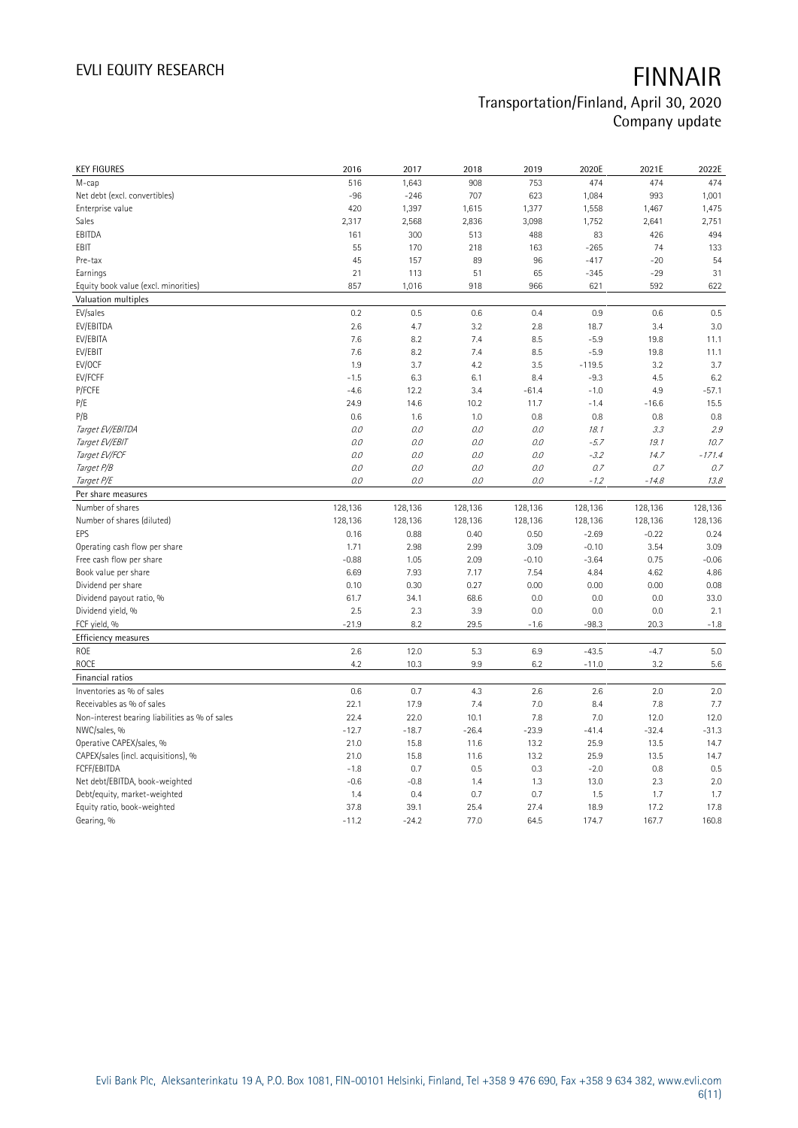| <b>KEY FIGURES</b>                                              | 2016            | 2017            | 2018            | 2019            | 2020E              | 2021E              | 2022E           |
|-----------------------------------------------------------------|-----------------|-----------------|-----------------|-----------------|--------------------|--------------------|-----------------|
| M-cap                                                           | 516             | 1,643           | 908             | 753             | 474                | 474                | 474             |
| Net debt (excl. convertibles)                                   | $-96$           | $-246$          | 707             | 623             | 1,084              | 993                | 1,001           |
| Enterprise value                                                | 420             | 1,397           | 1,615           | 1,377           | 1,558              | 1,467              | 1,475           |
| Sales                                                           | 2,317           | 2,568           | 2,836           | 3,098           | 1,752              | 2,641              | 2,751           |
| EBITDA                                                          | 161             | 300             | 513             | 488             | 83                 | 426                | 494             |
| EBIT                                                            | 55              | 170             | 218             | 163             | $-265$             | 74                 | 133             |
| Pre-tax                                                         | 45              | 157             | 89              | 96              | $-417$             | $-20$              | 54              |
| Earnings                                                        | 21              | 113             | 51              | 65              | $-345$             | $-29$              | 31              |
| Equity book value (excl. minorities)                            | 857             | 1,016           | 918             | 966             | 621                | 592                | 622             |
| Valuation multiples                                             |                 |                 |                 |                 |                    |                    |                 |
| EV/sales                                                        | 0.2             | 0.5             | 0.6             | 0.4             | 0.9                | 0.6                | 0.5             |
| EV/EBITDA                                                       | 2.6             | 4.7             | 3.2             | 2.8             | 18.7               | 3.4                | 3.0             |
| EV/EBITA                                                        | 7.6             | 8.2             | 7.4             | 8.5             | $-5.9$             | 19.8               | 11.1            |
| EV/EBIT                                                         | 7.6             | 8.2             | 7.4             | 8.5             | $-5.9$             | 19.8               | 11.1            |
| EV/OCF                                                          | 1.9             | 3.7             | 4.2             | 3.5             | $-119.5$           | 3.2                | 3.7             |
| EV/FCFF                                                         | $-1.5$          | 6.3             | 6.1             | 8.4             | $-9.3$             | 4.5                | 6.2             |
| P/FCFE                                                          | $-4.6$          | 12.2            | 3.4             | $-61.4$         | $-1.0$             | 4.9                | $-57.1$         |
| P/E                                                             | 24.9            | 14.6            | 10.2            | 11.7            | $-1.4$             | $-16.6$            | 15.5            |
| P/B                                                             | 0.6             | 1.6             | 1.0             | 0.8             | 0.8                | 0.8                | 0.8             |
| Target EV/EBITDA                                                | $O.O$           | 0.0             | 0.0             | 0.0             | 18.1               | 3.3                | 2.9             |
| Target EV/EBIT                                                  | 0.0             | 0.0             | 0.0             | 0.0             | $-5.7$             | 19.1               | 10.7            |
| Target EV/FCF                                                   | $O.O$           | 0.0             | 0.0             | 0.0             | $-3.2$             | 14.7               | $-171.4$        |
| Target P/B                                                      | 0.0             | 0.0             | 0.0             | 0.0             | 0.7                | 0.7                | 0.7             |
| Target P/E                                                      | 0.0             | 0.0             | 0.0             | $O.O$           | $-1.2$             | $-14.8$            | 13.8            |
| Per share measures                                              |                 |                 |                 |                 |                    |                    |                 |
|                                                                 |                 |                 |                 |                 |                    |                    |                 |
| Number of shares                                                |                 |                 |                 |                 |                    |                    |                 |
|                                                                 | 128,136         | 128,136         | 128,136         | 128,136         | 128,136            | 128,136            | 128,136         |
| Number of shares (diluted)<br>EPS                               | 128,136<br>0.16 | 128,136<br>0.88 | 128,136<br>0.40 | 128,136<br>0.50 | 128,136<br>$-2.69$ | 128,136<br>$-0.22$ | 128,136<br>0.24 |
|                                                                 | 1.71            |                 | 2.99            | 3.09            | $-0.10$            | 3.54               | 3.09            |
| Operating cash flow per share<br>Free cash flow per share       | $-0.88$         | 2.98<br>1.05    | 2.09            | $-0.10$         | $-3.64$            | 0.75               | $-0.06$         |
| Book value per share                                            | 6.69            | 7.93            | 7.17            | 7.54            | 4.84               | 4.62               | 4.86            |
| Dividend per share                                              | 0.10            | 0.30            | 0.27            | 0.00            | 0.00               | 0.00               | 0.08            |
| Dividend payout ratio, %                                        | 61.7            | 34.1            | 68.6            | 0.0             | 0.0                | 0.0                | 33.0            |
| Dividend yield, %                                               | 2.5             | 2.3             | 3.9             | 0.0             | 0.0                | 0.0                | 2.1             |
| FCF yield, %                                                    | $-21.9$         | 8.2             | 29.5            | $-1.6$          | $-98.3$            | 20.3               | $-1.8$          |
|                                                                 |                 |                 |                 |                 |                    |                    |                 |
| Efficiency measures<br>ROE                                      | 2.6             | 12.0            | 5.3             | 6.9             | $-43.5$            | $-4.7$             | 5.0             |
| <b>ROCE</b>                                                     | 4.2             | 10.3            | 9.9             | 6.2             | $-11.0$            | 3.2                | 5.6             |
| Financial ratios                                                |                 |                 |                 |                 |                    |                    |                 |
| Inventories as % of sales                                       | 0.6             | 0.7             | 4.3             | 2.6             | 2.6                | 2.0                | 2.0             |
|                                                                 | 22.1            |                 |                 |                 | 8.4                | 7.8                |                 |
| Receivables as % of sales                                       | 22.4            | 17.9            | 7.4             | 7.0<br>7.8      | 7.0                | 12.0               | 7.7             |
| Non-interest bearing liabilities as % of sales                  | $-12.7$         | 22.0            | 10.1<br>$-26.4$ | $-23.9$         |                    | $-32.4$            | 12.0            |
| NWC/sales, %                                                    | 21.0            | $-18.7$<br>15.8 | 11.6            | 13.2            | $-41.4$<br>25.9    | 13.5               | $-31.3$<br>14.7 |
| Operative CAPEX/sales, %<br>CAPEX/sales (incl. acquisitions), % | 21.0            | 15.8            | 11.6            | 13.2            | 25.9               | 13.5               | 14.7            |
| FCFF/EBITDA                                                     | $-1.8$          | 0.7             | 0.5             | 0.3             | $-2.0$             | 0.8                | 0.5             |
| Net debt/EBITDA, book-weighted                                  | $-0.6$          | $-0.8$          | 1.4             | 1.3             | 13.0               | 2.3                | 2.0             |
| Debt/equity, market-weighted                                    | 1.4             | 0.4             | 0.7             | 0.7             | 1.5                | 1.7                | 1.7             |
| Equity ratio, book-weighted                                     | 37.8            | 39.1            | 25.4            | 27.4            | 18.9               | 17.2               | 17.8            |
| Gearing, %                                                      | $-11.2$         | $-24.2$         | 77.0            | 64.5            | 174.7              | 167.7              | 160.8           |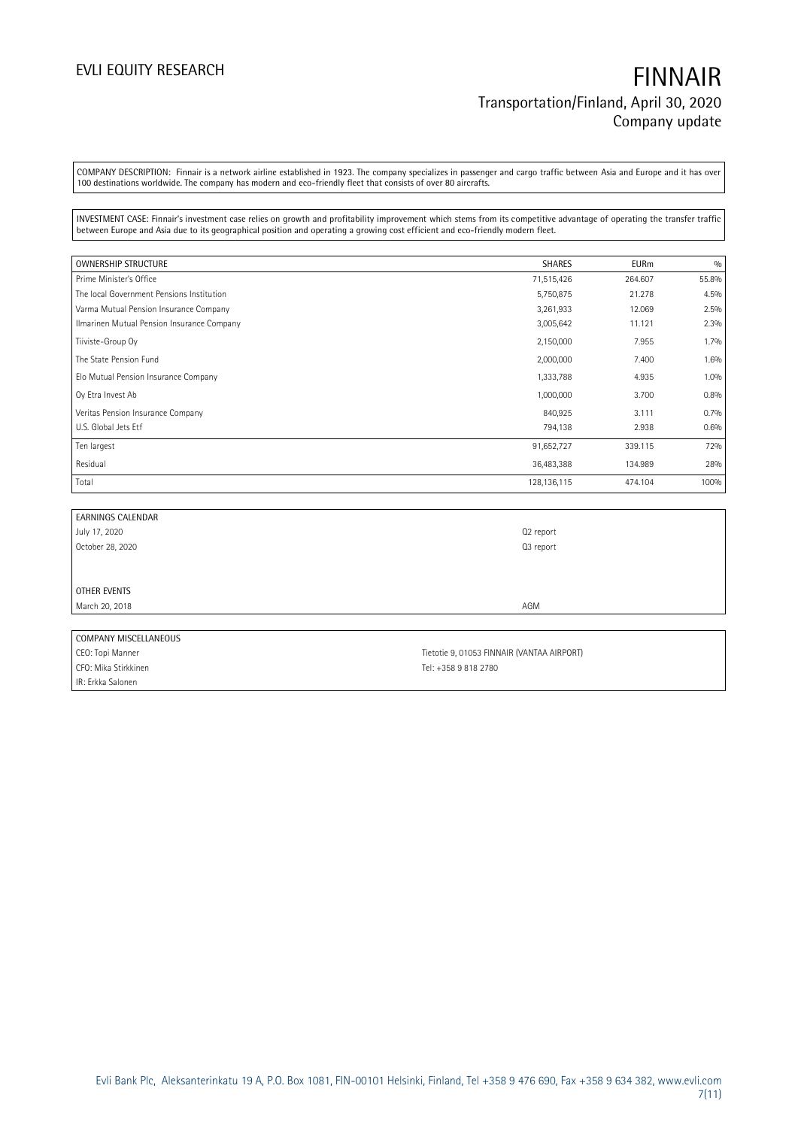COMPANY DESCRIPTION: Finnair is a network airline established in 1923. The company specializes in passenger and cargo traffic between Asia and Europe and it has over 100 destinations worldwide. The company has modern and eco-friendly fleet that consists of over 80 aircrafts.

INVESTMENT CASE: Finnair's investment case relies on growth and profitability improvement which stems from its competitive advantage of operating the transfer traffic between Europe and Asia due to its geographical position and operating a growing cost efficient and eco-friendly modern fleet.

| OWNERSHIP STRUCTURE                        | <b>SHARES</b> | <b>EURm</b> | 0/0     |
|--------------------------------------------|---------------|-------------|---------|
| Prime Minister's Office                    | 71,515,426    | 264.607     | 55.8%   |
| The local Government Pensions Institution  | 5,750,875     | 21.278      | 4.5%    |
| Varma Mutual Pension Insurance Company     | 3,261,933     | 12.069      | 2.5%    |
| Ilmarinen Mutual Pension Insurance Company | 3,005,642     | 11.121      | 2.3%    |
| Tiiviste-Group Oy                          | 2,150,000     | 7.955       | $1.7\%$ |
| The State Pension Fund                     | 2,000,000     | 7.400       | 1.6%    |
| Elo Mutual Pension Insurance Company       | 1,333,788     | 4.935       | 1.0%    |
| Oy Etra Invest Ab                          | 1,000,000     | 3.700       | 0.8%    |
| Veritas Pension Insurance Company          | 840,925       | 3.111       | 0.7%    |
| U.S. Global Jets Etf                       | 794,138       | 2.938       | 0.6%    |
| Ten largest                                | 91,652,727    | 339.115     | 72%     |
| Residual                                   | 36,483,388    | 134.989     | 28%     |
| Total                                      | 128, 136, 115 | 474.104     | 100%    |

| EARNINGS CALENDAR     |                                            |
|-----------------------|--------------------------------------------|
| July 17, 2020         | Q2 report                                  |
| October 28, 2020      | Q3 report                                  |
|                       |                                            |
|                       |                                            |
| OTHER EVENTS          |                                            |
| March 20, 2018        | AGM                                        |
|                       |                                            |
| COMPANY MISCELLANEOUS |                                            |
| CEO: Topi Manner      | Tietotie 9, 01053 FINNAIR (VANTAA AIRPORT) |

CFO: Mika Stirkkinen Tel: +358 9 818 2780 IR: Erkka Salonen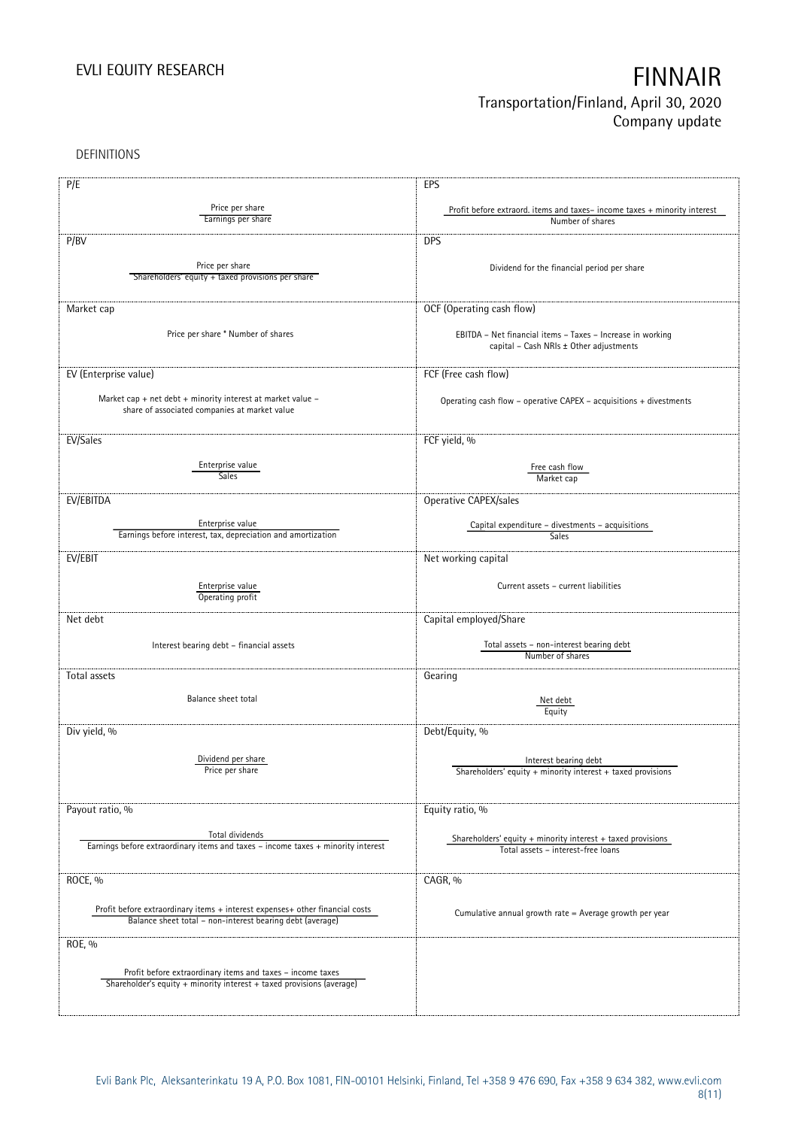DEFINITIONS

| P/E                                                                              | EPS                                                                      |
|----------------------------------------------------------------------------------|--------------------------------------------------------------------------|
|                                                                                  |                                                                          |
| Price per share                                                                  | Profit before extraord. items and taxes-income taxes + minority interest |
| Earnings per share                                                               | Number of shares                                                         |
| P/BV                                                                             | <b>DPS</b>                                                               |
|                                                                                  |                                                                          |
| Price per share                                                                  | Dividend for the financial period per share                              |
| Shareholders' equity + taxed provisions per share                                |                                                                          |
|                                                                                  |                                                                          |
| Market cap                                                                       | OCF (Operating cash flow)                                                |
|                                                                                  |                                                                          |
| Price per share * Number of shares                                               | EBITDA - Net financial items - Taxes - Increase in working               |
|                                                                                  | capital - Cash NRIs ± Other adjustments                                  |
|                                                                                  |                                                                          |
| EV (Enterprise value)                                                            | FCF (Free cash flow)                                                     |
|                                                                                  |                                                                          |
| Market cap + net debt + minority interest at market value -                      | Operating cash flow - operative CAPEX - acquisitions + divestments       |
| share of associated companies at market value                                    |                                                                          |
|                                                                                  |                                                                          |
| EV/Sales                                                                         | FCF yield, %                                                             |
|                                                                                  |                                                                          |
| Enterprise value                                                                 |                                                                          |
| <b>Sales</b>                                                                     | Free cash flow<br>Market cap                                             |
|                                                                                  |                                                                          |
| EV/EBITDA                                                                        | Operative CAPEX/sales                                                    |
|                                                                                  |                                                                          |
| Enterprise value                                                                 | Capital expenditure - divestments - acquisitions                         |
| Earnings before interest, tax, depreciation and amortization                     | Sales                                                                    |
|                                                                                  |                                                                          |
| EV/EBIT                                                                          | Net working capital                                                      |
|                                                                                  |                                                                          |
| Enterprise value                                                                 | Current assets - current liabilities                                     |
| Operating profit                                                                 |                                                                          |
| Net debt                                                                         | Capital employed/Share                                                   |
|                                                                                  |                                                                          |
| Interest bearing debt - financial assets                                         | Total assets - non-interest bearing debt                                 |
|                                                                                  | Number of shares                                                         |
|                                                                                  |                                                                          |
| Total assets                                                                     | Gearing                                                                  |
| Balance sheet total                                                              |                                                                          |
|                                                                                  | Net debt<br>Equity                                                       |
|                                                                                  |                                                                          |
| Div yield, %                                                                     | Debt/Equity, %                                                           |
|                                                                                  |                                                                          |
| Dividend per share                                                               | Interest bearing debt                                                    |
| Price per share                                                                  | Shareholders' equity $+$ minority interest $+$ taxed provisions          |
|                                                                                  |                                                                          |
|                                                                                  |                                                                          |
| Payout ratio, %                                                                  | Equity ratio, %                                                          |
|                                                                                  |                                                                          |
| Total dividends                                                                  | Shareholders' equity $+$ minority interest $+$ taxed provisions          |
| Earnings before extraordinary items and taxes - income taxes + minority interest | Total assets - interest-free loans                                       |
|                                                                                  |                                                                          |
| ROCE, %                                                                          | CAGR, %                                                                  |
|                                                                                  |                                                                          |
| Profit before extraordinary items + interest expenses+ other financial costs     |                                                                          |
| Balance sheet total - non-interest bearing debt (average)                        | Cumulative annual growth rate = Average growth per year                  |
|                                                                                  |                                                                          |
| ROE, %                                                                           |                                                                          |
|                                                                                  |                                                                          |
| Profit before extraordinary items and taxes - income taxes                       |                                                                          |
| Shareholder's equity + minority interest + taxed provisions (average)            |                                                                          |
|                                                                                  |                                                                          |
|                                                                                  |                                                                          |
|                                                                                  |                                                                          |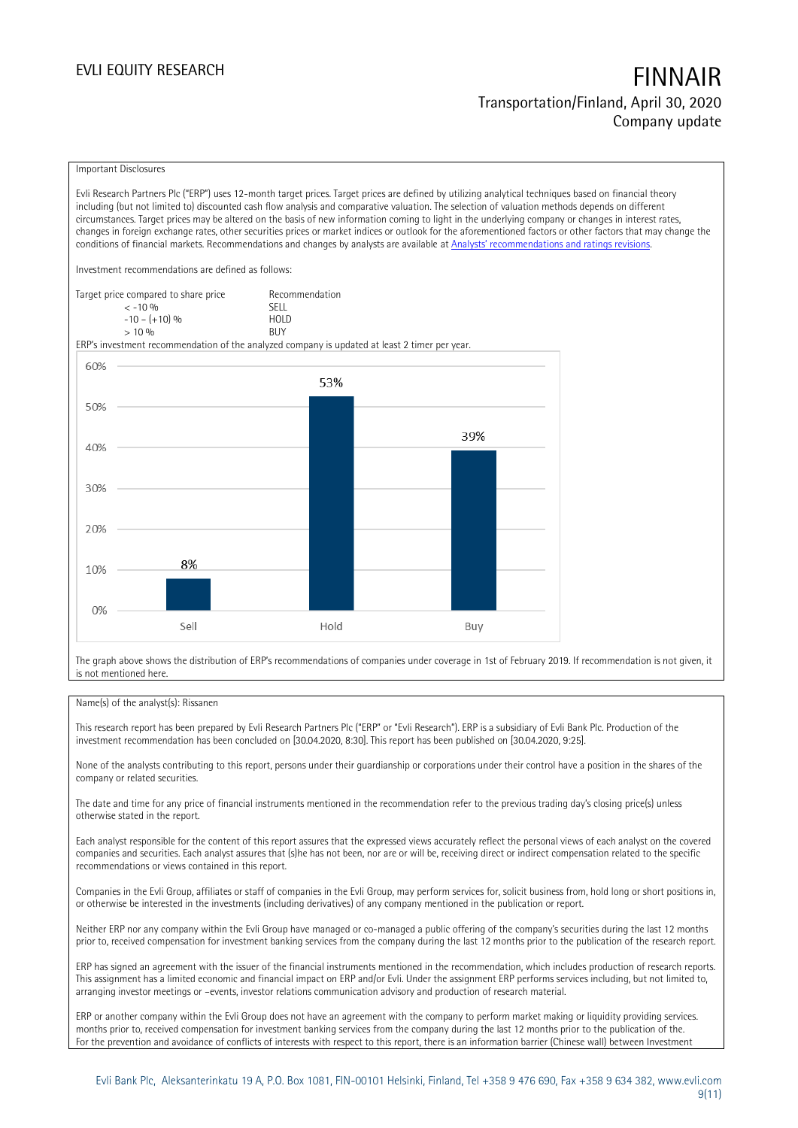### Important Disclosures

Evli Research Partners Plc ("ERP") uses 12-month target prices. Target prices are defined by utilizing analytical techniques based on financial theory including (but not limited to) discounted cash flow analysis and comparative valuation. The selection of valuation methods depends on different circumstances. Target prices may be altered on the basis of new information coming to light in the underlying company or changes in interest rates, changes in foreign exchange rates, other securities prices or market indices or outlook for the aforementioned factors or other factors that may change the conditions of financial markets. Recommendations and changes by analysts are available at [Analysts' recommendations and ratings revisions](https://research.evli.com/JasperAllModels.action?authParam=key;461&authParam=x;G3rNagWrtf7K&authType=3).

Investment recommendations are defined as follows:

| Target price compared to share price | Recommendation |
|--------------------------------------|----------------|
| $<-10.96$                            | <b>SFII</b>    |
| $-10 - (+10)$ %                      | HOI D          |
| > 10%                                | <b>BUY</b>     |

ERP's investment recommendation of the analyzed company is updated at least 2 timer per year.



The graph above shows the distribution of ERP's recommendations of companies under coverage in 1st of February 2019. If recommendation is not given, it is not mentioned here.

### Name(s) of the analyst(s): Rissanen

This research report has been prepared by Evli Research Partners Plc ("ERP" or "Evli Research"). ERP is a subsidiary of Evli Bank Plc. Production of the investment recommendation has been concluded on [30.04.2020, 8:30]. This report has been published on [30.04.2020, 9:25].

None of the analysts contributing to this report, persons under their guardianship or corporations under their control have a position in the shares of the company or related securities.

The date and time for any price of financial instruments mentioned in the recommendation refer to the previous trading day's closing price(s) unless otherwise stated in the report.

Each analyst responsible for the content of this report assures that the expressed views accurately reflect the personal views of each analyst on the covered companies and securities. Each analyst assures that (s)he has not been, nor are or will be, receiving direct or indirect compensation related to the specific recommendations or views contained in this report.

Companies in the Evli Group, affiliates or staff of companies in the Evli Group, may perform services for, solicit business from, hold long or short positions in, or otherwise be interested in the investments (including derivatives) of any company mentioned in the publication or report.

Neither ERP nor any company within the Evli Group have managed or co-managed a public offering of the company's securities during the last 12 months prior to, received compensation for investment banking services from the company during the last 12 months prior to the publication of the research report.

ERP has signed an agreement with the issuer of the financial instruments mentioned in the recommendation, which includes production of research reports. This assignment has a limited economic and financial impact on ERP and/or Evli. Under the assignment ERP performs services including, but not limited to, arranging investor meetings or –events, investor relations communication advisory and production of research material.

ERP or another company within the Evli Group does not have an agreement with the company to perform market making or liquidity providing services. months prior to, received compensation for investment banking services from the company during the last 12 months prior to the publication of the. For the prevention and avoidance of conflicts of interests with respect to this report, there is an information barrier (Chinese wall) between Investment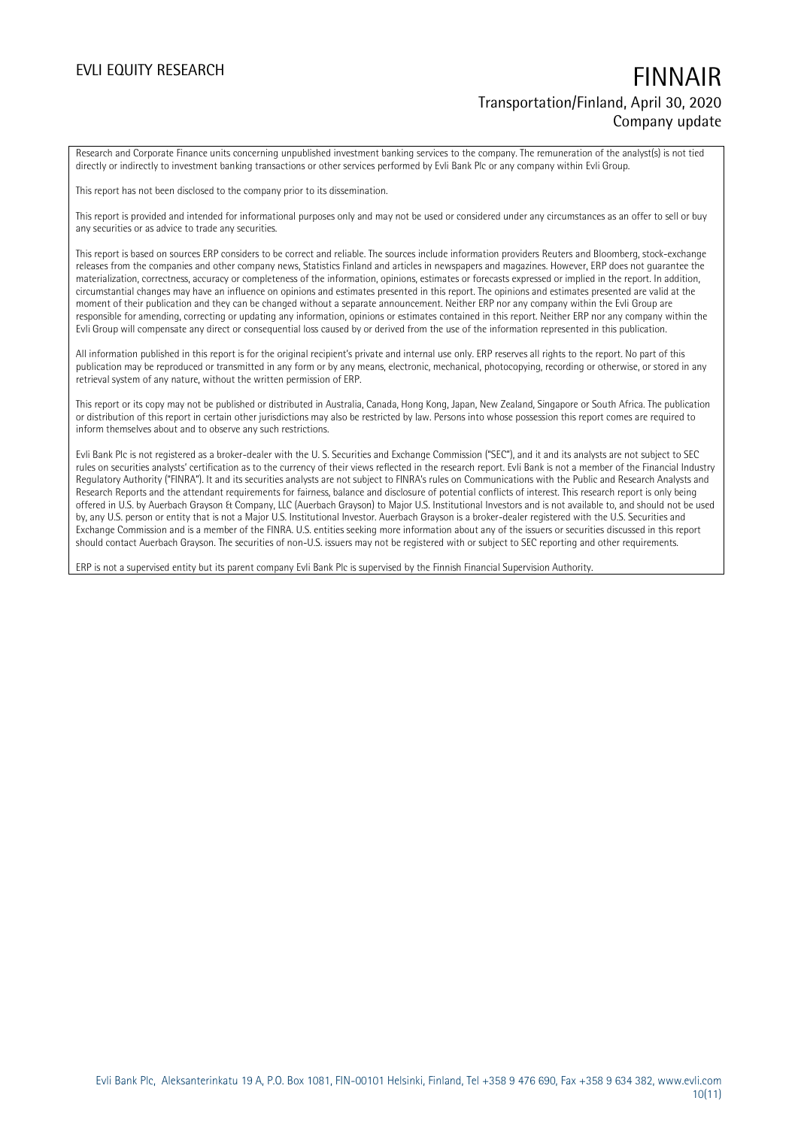Research and Corporate Finance units concerning unpublished investment banking services to the company. The remuneration of the analyst(s) is not tied directly or indirectly to investment banking transactions or other services performed by Evli Bank Plc or any company within Evli Group.

This report has not been disclosed to the company prior to its dissemination.

This report is provided and intended for informational purposes only and may not be used or considered under any circumstances as an offer to sell or buy any securities or as advice to trade any securities.

This report is based on sources ERP considers to be correct and reliable. The sources include information providers Reuters and Bloomberg, stock-exchange releases from the companies and other company news, Statistics Finland and articles in newspapers and magazines. However, ERP does not guarantee the materialization, correctness, accuracy or completeness of the information, opinions, estimates or forecasts expressed or implied in the report. In addition, circumstantial changes may have an influence on opinions and estimates presented in this report. The opinions and estimates presented are valid at the moment of their publication and they can be changed without a separate announcement. Neither ERP nor any company within the Evli Group are responsible for amending, correcting or updating any information, opinions or estimates contained in this report. Neither ERP nor any company within the Evli Group will compensate any direct or consequential loss caused by or derived from the use of the information represented in this publication.

All information published in this report is for the original recipient's private and internal use only. ERP reserves all rights to the report. No part of this publication may be reproduced or transmitted in any form or by any means, electronic, mechanical, photocopying, recording or otherwise, or stored in any retrieval system of any nature, without the written permission of ERP.

This report or its copy may not be published or distributed in Australia, Canada, Hong Kong, Japan, New Zealand, Singapore or South Africa. The publication or distribution of this report in certain other jurisdictions may also be restricted by law. Persons into whose possession this report comes are required to inform themselves about and to observe any such restrictions.

Evli Bank Plc is not registered as a broker-dealer with the U. S. Securities and Exchange Commission ("SEC"), and it and its analysts are not subject to SEC rules on securities analysts' certification as to the currency of their views reflected in the research report. Evli Bank is not a member of the Financial Industry Regulatory Authority ("FINRA"). It and its securities analysts are not subject to FINRA's rules on Communications with the Public and Research Analysts and Research Reports and the attendant requirements for fairness, balance and disclosure of potential conflicts of interest. This research report is only being offered in U.S. by Auerbach Grayson & Company, LLC (Auerbach Grayson) to Major U.S. Institutional Investors and is not available to, and should not be used by, any U.S. person or entity that is not a Major U.S. Institutional Investor. Auerbach Grayson is a broker-dealer registered with the U.S. Securities and Exchange Commission and is a member of the FINRA. U.S. entities seeking more information about any of the issuers or securities discussed in this report should contact Auerbach Grayson. The securities of non-U.S. issuers may not be registered with or subject to SEC reporting and other requirements.

ERP is not a supervised entity but its parent company Evli Bank Plc is supervised by the Finnish Financial Supervision Authority.